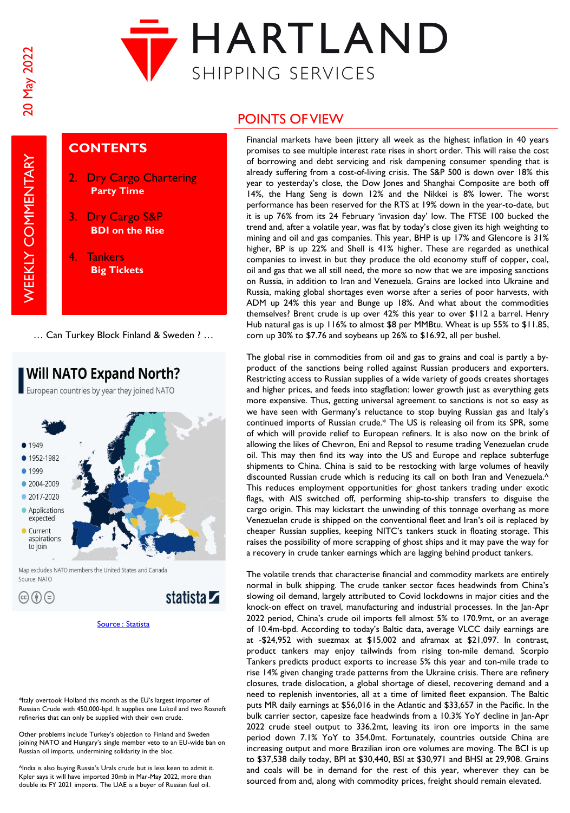**WEEKLY COMMENTARY** 



## **CONTENTS**

- **Dry Cargo Chartering Party Time**
- 3. Dry Cargo S&P **BDI on the Rise**
- 4. Tankers **Big Tickets**

… Can Turkey Block Finland & Sweden ? …

**Will NATO Expand North?** European countries by year they joined NATO



 $\circledcirc$  (j)  $\odot$ 

\*Italy overtook Holland this month as the EU's largest importer of Russian Crude with 450,000-bpd. It supplies one Lukoil and two Rosneft refineries that can only be supplied with their own crude.

Other problems include Turkey's objection to Finland and Sweden joining NATO and Hungary's single member veto to an EU-wide ban on Russian oil imports, undermining solidarity in the bloc.

^India is also buying Russia's Urals crude but is less keen to admit it. Kpler says it will have imported 30mb in Mar-May 2022, more than double its FY 2021 imports. The UAE is a buyer of Russian fuel oil.

# POINTS OF VIEW

Financial markets have been jittery all week as the highest inflation in 40 years promises to see multiple interest rate rises in short order. This will raise the cost of borrowing and debt servicing and risk dampening consumer spending that is already suffering from a cost-of-living crisis. The S&P 500 is down over 18% this year to yesterday's close, the Dow Jones and Shanghai Composite are both off 14%, the Hang Seng is down 12% and the Nikkei is 8% lower. The worst performance has been reserved for the RTS at 19% down in the year-to-date, but it is up 76% from its 24 February 'invasion day' low. The FTSE 100 bucked the trend and, after a volatile year, was flat by today's close given its high weighting to mining and oil and gas companies. This year, BHP is up 17% and Glencore is 31% higher, BP is up 22% and Shell is 41% higher. These are regarded as unethical companies to invest in but they produce the old economy stuff of copper, coal, oil and gas that we all still need, the more so now that we are imposing sanctions on Russia, in addition to Iran and Venezuela. Grains are locked into Ukraine and Russia, making global shortages even worse after a series of poor harvests, with ADM up 24% this year and Bunge up 18%. And what about the commodities themselves? Brent crude is up over 42% this year to over \$112 a barrel. Henry Hub natural gas is up 116% to almost \$8 per MMBtu. Wheat is up 55% to \$11.85, corn up 30% to \$7.76 and soybeans up 26% to \$16.92, all per bushel.

The global rise in commodities from oil and gas to grains and coal is partly a byproduct of the sanctions being rolled against Russian producers and exporters. Restricting access to Russian supplies of a wide variety of goods creates shortages and higher prices, and feeds into stagflation: lower growth just as everything gets more expensive. Thus, getting universal agreement to sanctions is not so easy as we have seen with Germany's reluctance to stop buying Russian gas and Italy's continued imports of Russian crude.\* The US is releasing oil from its SPR, some of which will provide relief to European refiners. It is also now on the brink of allowing the likes of Chevron, Eni and Repsol to resume trading Venezuelan crude oil. This may then find its way into the US and Europe and replace subterfuge shipments to China. China is said to be restocking with large volumes of heavily discounted Russian crude which is reducing its call on both Iran and Venezuela.<sup>^</sup> This reduces employment opportunities for ghost tankers trading under exotic flags, with AIS switched off, performing ship-to-ship transfers to disguise the cargo origin. This may kickstart the unwinding of this tonnage overhang as more Venezuelan crude is shipped on the conventional fleet and Iran's oil is replaced by cheaper Russian supplies, keeping NITC's tankers stuck in floating storage. This raises the possibility of more scrapping of ghost ships and it may pave the way for a recovery in crude tanker earnings which are lagging behind product tankers.

The volatile trends that characterise financial and commodity markets are entirely normal in bulk shipping. The crude tanker sector faces headwinds from China's slowing oil demand, largely attributed to Covid lockdowns in major cities and the knock-on effect on travel, manufacturing and industrial processes. In the Jan-Apr 2022 period, China's crude oil imports fell almost 5% to 170.9mt, or an average of 10.4m-bpd. According to today's Baltic data, average VLCC daily earnings are at -\$24,952 with suezmax at \$15,002 and aframax at \$21,097. In contrast, product tankers may enjoy tailwinds from rising ton-mile demand. Scorpio Tankers predicts product exports to increase 5% this year and ton-mile trade to rise 14% given changing trade patterns from the Ukraine crisis. There are refinery closures, trade dislocation, a global shortage of diesel, recovering demand and a need to replenish inventories, all at a time of limited fleet expansion. The Baltic puts MR daily earnings at \$56,016 in the Atlantic and \$33,657 in the Pacific. In the bulk carrier sector, capesize face headwinds from a 10.3% YoY decline in Jan-Apr 2022 crude steel output to 336.2mt, leaving its iron ore imports in the same period down 7.1% YoY to 354.0mt. Fortunately, countries outside China are increasing output and more Brazilian iron ore volumes are moving. The BCI is up to \$37,538 daily today, BPI at \$30,440, BSI at \$30,971 and BHSI at 29,908. Grains and coals will be in demand for the rest of this year, wherever they can be sourced from and, along with commodity prices, freight should remain elevated.

[Source : Statista](https://www.statista.com/)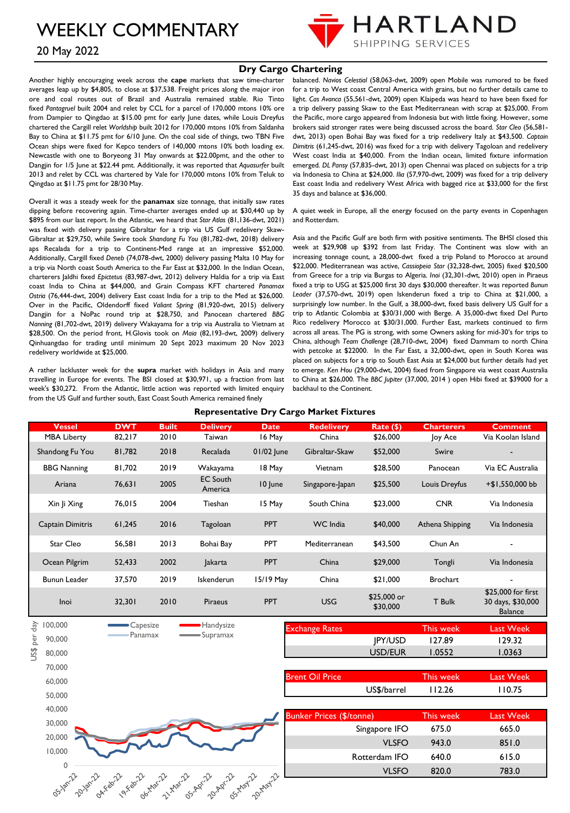

## 20 May 2022

### **Dry Cargo Chartering**

Another highly encouraging week across the **cape** markets that saw time-charter averages leap up by \$4,805, to close at \$37,538. Freight prices along the major iron ore and coal routes out of Brazil and Australia remained stable. Rio Tinto fixed *Pantagruel* built 2004 and relet by CCL for a parcel of 170,000 mtons 10% ore from Dampier to Qingdao at \$15.00 pmt for early June dates, while Louis Dreyfus chartered the Cargill relet *Worldship* built 2012 for 170,000 mtons 10% from Saldanha Bay to China at \$11.75 pmt for 6/10 June. On the coal side of things, two TBN Five Ocean ships were fixed for Kepco tenders of 140,000 mtons 10% both loading ex. Newcastle with one to Boryeong 31 May onwards at \$22.00pmt, and the other to Dangjin for 1/5 June at \$22.44 pmt. Additionally, it was reported that *Aquasurfer* built 2013 and relet by CCL was chartered by Vale for 170,000 mtons 10% from Teluk to Qingdao at \$11.75 pmt for 28/30 May.

Overall it was a steady week for the **panamax** size tonnage, that initially saw rates dipping before recovering again. Time-charter averages ended up at \$30,440 up by \$895 from our last report. In the Atlantic, we heard that *Star Atlas* (81,136-dwt, 2021) was fixed with delivery passing Gibraltar for a trip via US Gulf redelivery Skaw-Gibraltar at \$29,750, while Swire took *Shandong Fu You* (81,782-dwt, 2018) delivery aps Recalada for a trip to Continent-Med range at an impressive \$52,000. Additionally, Cargill fixed *Deneb* (74,078-dwt, 2000) delivery passing Malta 10 May for a trip via North coast South America to the Far East at \$32,000. In the Indian Ocean, charterers Jaldhi fixed *Epictetus* (83,987-dwt, 2012) delivery Haldia for a trip via East coast India to China at \$44,000, and Grain Compass KFT chartered *Panamax Ostria* (76,444-dwt, 2004) delivery East coast India for a trip to the Med at \$26,000. Over in the Pacific, Oldendorff fixed *Valiant Spring* (81,920-dwt, 2015) delivery Dangjin for a NoPac round trip at \$28,750, and Panocean chartered *BBG Nanning* (81,702-dwt, 2019) delivery Wakayama for a trip via Australia to Vietnam at \$28,500. On the period front, H.Glovis took on *Maia* (82,193-dwt, 2009) delivery Qinhuangdao for trading until minimum 20 Sept 2023 maximum 20 Nov 2023 redelivery worldwide at \$25,000.

A rather lackluster week for the **supra** market with holidays in Asia and many travelling in Europe for events. The BSI closed at \$30,971, up a fraction from last week's \$30,272. From the Atlantic, little action was reported with limited enquiry from the US Gulf and further south, East Coast South America remained finely

balanced. *Navios Celestial* (58,063-dwt, 2009) open Mobile was rumored to be fixed for a trip to West coast Central America with grains, but no further details came to light. *Cas Avanca* (55,561-dwt, 2009) open Klaipeda was heard to have been fixed for a trip delivery passing Skaw to the East Mediterranean with scrap at \$25,000. From the Pacific, more cargo appeared from Indonesia but with little fixing. However, some brokers said stronger rates were being discussed across the board. *Star Cleo* (56,581 dwt, 2013) open Bohai Bay was fixed for a trip redelivery Italy at \$43,500. *Captain Dimitris* (61,245-dwt, 2016) was fixed for a trip with delivery Tagoloan and redelivery West coast India at \$40,000. From the Indian ocean, limited fixture information emerged. *DL Pansy* (57,835-dwt, 2013) open Chennai was placed on subjects for a trip via Indonesia to China at \$24,000. *Ilia* (57,970-dwt, 2009) was fixed for a trip delivery East coast India and redelivery West Africa with bagged rice at \$33,000 for the first 35 days and balance at \$36,000.

A quiet week in Europe, all the energy focused on the party events in Copenhagen and Rotterdam.

Asia and the Pacific Gulf are both firm with positive sentiments. The BHSI closed this week at \$29,908 up \$392 from last Friday. The Continent was slow with an increasing tonnage count, a 28,000-dwt fixed a trip Poland to Morocco at around \$22,000. Mediterranean was active, *Cassiopeia Star* (32,328-dwt, 2005) fixed \$20,500 from Greece for a trip via Burgas to Algeria. *Inoi* (32,301-dwt, 2010) open in Piraeus fixed a trip to USG at \$25,000 first 30 days \$30,000 thereafter. It was reported *Bunun Leader* (37,570-dwt, 2019) open Iskenderun fixed a trip to China at \$21,000, a surprisingly low number. In the Gulf, a 38,000-dwt, fixed basis delivery US Gulf for a trip to Atlantic Colombia at \$30/31,000 with Berge. A 35,000-dwt fixed Del Purto Rico redelivery Morocco at \$30/31,000. Further East, markets continued to firm across all areas. The PG is strong, with some Owners asking for mid-30's for trips to China, although *Team Challenge* (28,710-dwt, 2004) fixed Dammam to north China with petcoke at \$22000. In the Far East, a 32,000-dwt, open in South Korea was placed on subjects for a trip to South East Asia at \$24,000 but further details had yet to emerge. *Ken Hou* (29,000-dwt, 2004) fixed from Singapore via west coast Australia to China at \$26,000. The *BBC Jupiter* (37,000, 2014 ) open Hibi fixed at \$39000 for a backhaul to the Continent.

| <b>Vessel</b>        | <b>DWT</b>                   | <b>Built</b>                   | <b>Delivery</b>                      | <b>Date</b>       | <b>Redelivery</b>               | Rate (\$)               | <b>Charterers</b> | <b>Comment</b>                                            |
|----------------------|------------------------------|--------------------------------|--------------------------------------|-------------------|---------------------------------|-------------------------|-------------------|-----------------------------------------------------------|
| <b>MBA Liberty</b>   | 82,217                       | 2010                           | Taiwan                               | 16 May            | China                           | \$26,000                | Joy Ace           | Via Koolan Island                                         |
| Shandong Fu You      | 81,782                       | 2018                           | Recalada                             | 01/02 June        | Gibraltar-Skaw                  | \$52,000                | Swire             |                                                           |
| <b>BBG Nanning</b>   | 81,702                       | 2019                           | Wakayama                             | 18 May            | Vietnam                         | \$28,500                | Panocean          | Via EC Australia                                          |
| Ariana               | 76,631                       | 2005                           | <b>EC South</b><br>America           | 10 June           | Singapore-Japan                 | \$25,500                | Louis Dreyfus     | +\$1,550,000 bb                                           |
| Xin  i Xing          | 76,015                       | 2004                           | Tieshan                              | 15 May            | South China                     | \$23,000                | <b>CNR</b>        | Via Indonesia                                             |
| Captain Dimitris     | 61,245                       | 2016                           | Tagoloan                             | <b>PPT</b>        | <b>WC</b> India                 | \$40,000                | Athena Shipping   | Via Indonesia                                             |
| Star Cleo            | 56,581                       | 2013                           | Bohai Bay                            | <b>PPT</b>        | Mediterranean                   | \$43,500                | Chun An           |                                                           |
| Ocean Pilgrim        | 52,433                       | 2002                           | <b>Jakarta</b>                       | <b>PPT</b>        | China                           | \$29,000                | Tongli            | Via Indonesia                                             |
| <b>Bunun Leader</b>  | 37,570                       | 2019                           | Iskenderun                           | 15/19 May         | China                           | \$21,000                | <b>Brochart</b>   |                                                           |
| Inoi                 | 32,301                       | 2010                           | Piraeus                              | <b>PPT</b>        | <b>USG</b>                      | \$25,000 or<br>\$30,000 | T Bulk            | \$25,000 for first<br>30 days, \$30,000<br><b>Balance</b> |
| day<br>100,000       | Capesize                     |                                | Handysize                            |                   | <b>Exchange Rates</b>           |                         | <b>This week</b>  | <b>Last Week</b>                                          |
| per<br>90,000        | Panamax                      |                                | Supramax                             |                   |                                 | <b>IPY/USD</b>          | 127.89            | 129.32                                                    |
| US\$<br>80,000       |                              |                                |                                      |                   |                                 | USD/EUR                 | 1.0552            | 1.0363                                                    |
| 70,000               |                              |                                |                                      |                   |                                 |                         |                   |                                                           |
| 60,000               |                              |                                |                                      |                   | <b>Brent Oil Price</b>          |                         | This week         | <b>Last Week</b>                                          |
| 50,000               |                              |                                |                                      |                   |                                 | US\$/barrel             | 112.26            | 110.75                                                    |
| 40,000               |                              |                                |                                      |                   |                                 |                         |                   |                                                           |
| 30,000               |                              |                                |                                      |                   | <b>Bunker Prices (\$/tonne)</b> |                         | This week         | <b>Last Week</b>                                          |
|                      |                              |                                |                                      |                   |                                 | Singapore IFO           | 675.0             | 665.0                                                     |
| 20,000               |                              |                                |                                      |                   |                                 | <b>VLSFO</b>            | 943.0             | 851.0                                                     |
| 10,000               |                              |                                |                                      |                   |                                 | Rotterdam IFO           | 640.0             | 615.0                                                     |
|                      |                              |                                |                                      |                   |                                 | <b>VLSFO</b>            | 820.0             | 783.0                                                     |
| OS-Jan-22<br>2018/22 | OAXEBILL<br><b>Prices</b> 22 | Of-Thar.22<br><b>11 Mar.22</b> | AS-May-22<br>ns. Apr.22<br>20-Apr-22 | <b>20. Nat</b> 22 |                                 |                         |                   |                                                           |

**Representative Dry Cargo Market Fixtures**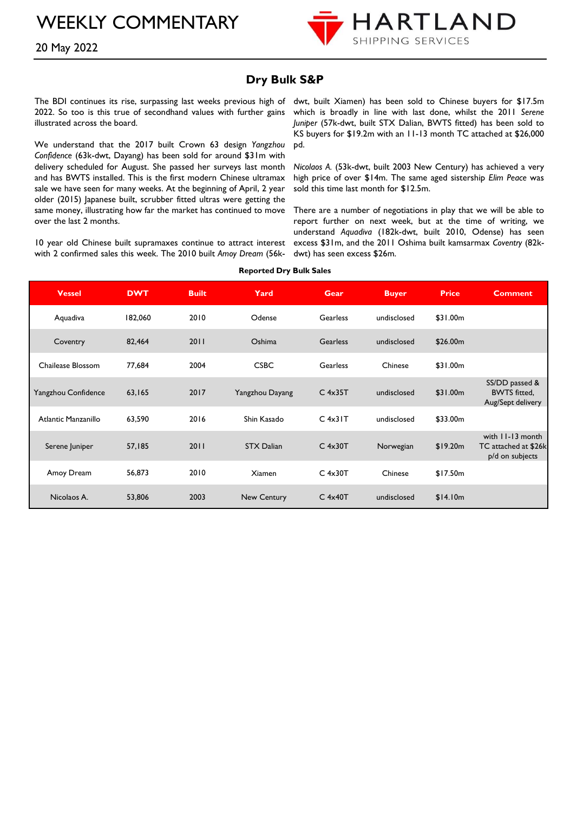

20 May 2022

### **Dry Bulk S&P**

The BDI continues its rise, surpassing last weeks previous high of 2022. So too is this true of secondhand values with further gains illustrated across the board.

We understand that the 2017 built Crown 63 design *Yangzhou Confidence* (63k-dwt, Dayang) has been sold for around \$31m with delivery scheduled for August. She passed her surveys last month and has BWTS installed. This is the first modern Chinese ultramax sale we have seen for many weeks. At the beginning of April, 2 year older (2015) Japanese built, scrubber fitted ultras were getting the same money, illustrating how far the market has continued to move over the last 2 months.

10 year old Chinese built supramaxes continue to attract interest with 2 confirmed sales this week. The 2010 built *Amoy Dream* (56k-

dwt, built Xiamen) has been sold to Chinese buyers for \$17.5m which is broadly in line with last done, whilst the 2011 *Serene Juniper* (57k-dwt, built STX Dalian, BWTS fitted) has been sold to KS buyers for \$19.2m with an 11-13 month TC attached at \$26,000 pd.

*Nicolaos A.* (53k-dwt, built 2003 New Century) has achieved a very high price of over \$14m. The same aged sistership *Elim Peace* was sold this time last month for \$12.5m.

There are a number of negotiations in play that we will be able to report further on next week, but at the time of writing, we understand *Aquadiva* (182k-dwt, built 2010, Odense) has seen excess \$31m, and the 2011 Oshima built kamsarmax *Coventry* (82kdwt) has seen excess \$26m.

| <b>Vessel</b>       | <b>DWT</b> | <b>Built</b> | Yard               | <b>Gear</b>     | <b>Buyer</b> | <b>Price</b> | <b>Comment</b>                                              |
|---------------------|------------|--------------|--------------------|-----------------|--------------|--------------|-------------------------------------------------------------|
| Aquadiva            | 182,060    | 2010         | Odense             | Gearless        | undisclosed  | \$31.00m     |                                                             |
| Coventry            | 82,464     | 2011         | Oshima             | <b>Gearless</b> | undisclosed  | \$26.00m     |                                                             |
| Chailease Blossom   | 77,684     | 2004         | <b>CSBC</b>        | Gearless        | Chinese      | \$31.00m     |                                                             |
| Yangzhou Confidence | 63,165     | 2017         | Yangzhou Dayang    | $C$ 4x35T       | undisclosed  | \$31.00m     | SS/DD passed &<br><b>BWTS</b> fitted,<br>Aug/Sept delivery  |
| Atlantic Manzanillo | 63,590     | 2016         | Shin Kasado        | $C$ 4x31 $T$    | undisclosed  | \$33.00m     |                                                             |
| Serene Juniper      | 57,185     | 2011         | <b>STX Dalian</b>  | $C$ 4x30T       | Norwegian    | \$19.20m     | with 11-13 month<br>TC attached at \$26k<br>p/d on subjects |
| Amoy Dream          | 56,873     | 2010         | Xiamen             | $C$ 4x30T       | Chinese      | \$17.50m     |                                                             |
| Nicolaos A.         | 53,806     | 2003         | <b>New Century</b> | $C$ 4x40T       | undisclosed  | \$14.10m     |                                                             |

**Reported Dry Bulk Sales**